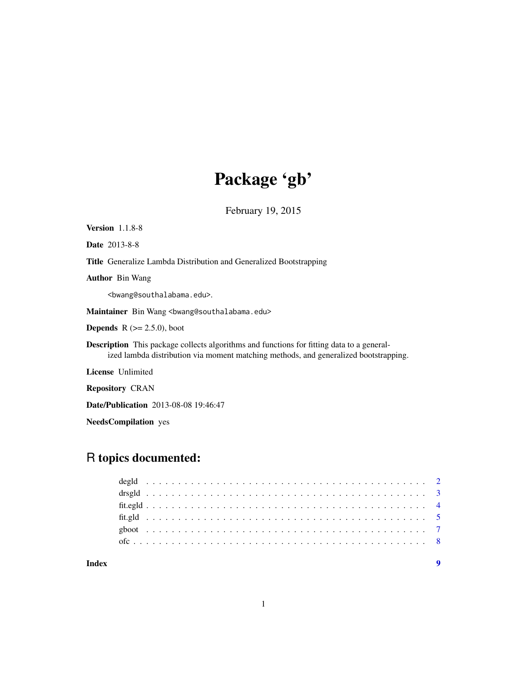## Package 'gb'

February 19, 2015

Version 1.1.8-8

Date 2013-8-8

Title Generalize Lambda Distribution and Generalized Bootstrapping

Author Bin Wang

<bwang@southalabama.edu>.

Maintainer Bin Wang <br/>bwang@southalabama.edu>

**Depends**  $R$  ( $>= 2.5.0$ ), boot

Description This package collects algorithms and functions for fitting data to a generalized lambda distribution via moment matching methods, and generalized bootstrapping.

License Unlimited

Repository CRAN

Date/Publication 2013-08-08 19:46:47

NeedsCompilation yes

## R topics documented:

| Index |  |  |  |  |  |  |  |  |  |  |  |  |  |  |  |  |  |  |  |  |  |  | $\mathbf Q$ |
|-------|--|--|--|--|--|--|--|--|--|--|--|--|--|--|--|--|--|--|--|--|--|--|-------------|
|       |  |  |  |  |  |  |  |  |  |  |  |  |  |  |  |  |  |  |  |  |  |  |             |
|       |  |  |  |  |  |  |  |  |  |  |  |  |  |  |  |  |  |  |  |  |  |  |             |
|       |  |  |  |  |  |  |  |  |  |  |  |  |  |  |  |  |  |  |  |  |  |  |             |
|       |  |  |  |  |  |  |  |  |  |  |  |  |  |  |  |  |  |  |  |  |  |  |             |
|       |  |  |  |  |  |  |  |  |  |  |  |  |  |  |  |  |  |  |  |  |  |  |             |
|       |  |  |  |  |  |  |  |  |  |  |  |  |  |  |  |  |  |  |  |  |  |  |             |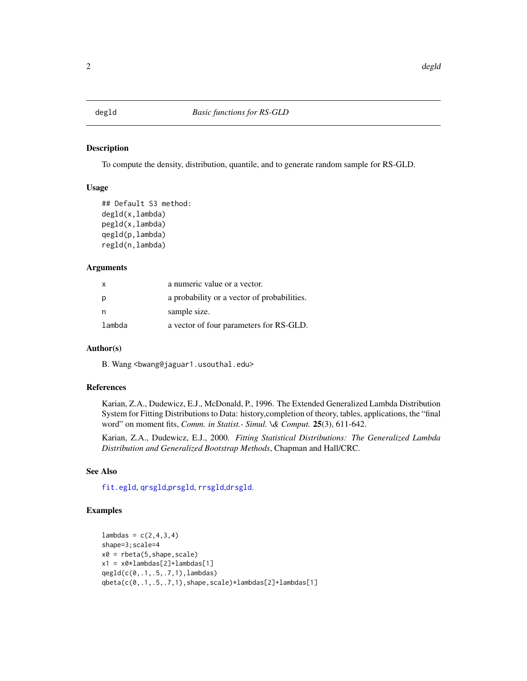<span id="page-1-2"></span><span id="page-1-0"></span>

## <span id="page-1-1"></span>Description

To compute the density, distribution, quantile, and to generate random sample for RS-GLD.

#### Usage

```
## Default S3 method:
degld(x,lambda)
pegld(x,lambda)
qegld(p,lambda)
regld(n,lambda)
```
#### Arguments

| $\mathsf{x}$ | a numeric value or a vector.                |
|--------------|---------------------------------------------|
| p            | a probability or a vector of probabilities. |
| n            | sample size.                                |
| lambda       | a vector of four parameters for RS-GLD.     |

#### Author(s)

B. Wang <bwang@jaguar1.usouthal.edu>

## References

Karian, Z.A., Dudewicz, E.J., McDonald, P., 1996. The Extended Generalized Lambda Distribution System for Fitting Distributions to Data: history,completion of theory, tables, applications, the "final word" on moment fits, *Comm. in Statist.- Simul. \& Comput.* 25(3), 611-642.

Karian, Z.A., Dudewicz, E.J., 2000. *Fitting Statistical Distributions: The Generalized Lambda Distribution and Generalized Bootstrap Methods*, Chapman and Hall/CRC.

#### See Also

[fit.egld](#page-3-1), [qrsgld](#page-2-1),[prsgld](#page-2-1), [rrsgld](#page-2-1),[drsgld](#page-2-2).

## Examples

```
lambdas = c(2, 4, 3, 4)shape=3;scale=4
x0 = \text{rbeta}(5, \text{shape}, \text{scale})x1 = x0*1ambdas[2]+1ambdas[1]
qegld(c(0,.1,.5,.7,1),lambdas)
qbeta(c(0,.1,.5,.7,1),shape,scale)*lambdas[2]+lambdas[1]
```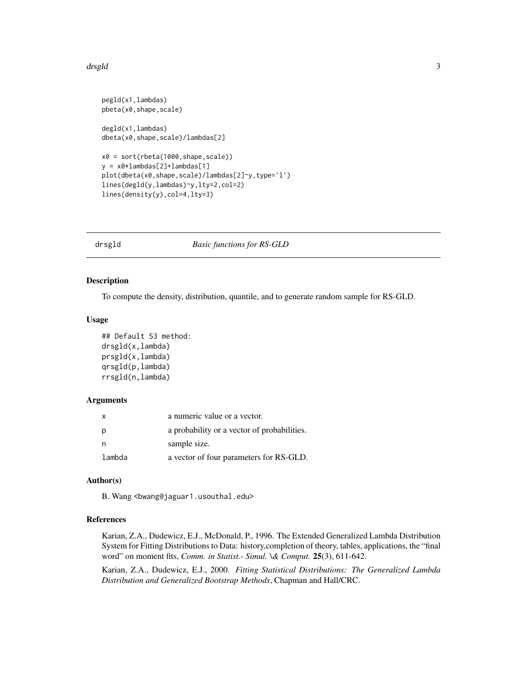#### <span id="page-2-0"></span>drsgld 33 and 33 and 33 and 33 and 33 and 33 and 33 and 33 and 33 and 33 and 33 and 33 and 33 and 33 and 33 and 33 and 33 and 33 and 33 and 33 and 33 and 33 and 33 and 33 and 33 and 33 and 33 and 33 and 33 and 33 and 33 an

```
pegld(x1,lambdas)
pbeta(x0,shape,scale)
degld(x1,lambdas)
dbeta(x0,shape,scale)/lambdas[2]
x0 = sort(rbeta(1000,shape,scale))
y = x0*lambdas[2]+lambdas[1]
plot(dbeta(x0,shape,scale)/lambdas[2]~y,type='l')
lines(degld(y,lambdas)~y,lty=2,col=2)
lines(density(y),col=4,lty=3)
```
<span id="page-2-2"></span>

drsgld *Basic functions for RS-GLD*

#### <span id="page-2-1"></span>Description

To compute the density, distribution, quantile, and to generate random sample for RS-GLD.

#### Usage

```
## Default S3 method:
drsgld(x,lambda)
prsgld(x,lambda)
qrsgld(p,lambda)
rrsgld(n,lambda)
```
#### Arguments

|        | a numeric value or a vector.                |
|--------|---------------------------------------------|
| p      | a probability or a vector of probabilities. |
| n      | sample size.                                |
| lambda | a vector of four parameters for RS-GLD.     |

#### Author(s)

B. Wang <bwang@jaguar1.usouthal.edu>

#### References

Karian, Z.A., Dudewicz, E.J., McDonald, P., 1996. The Extended Generalized Lambda Distribution System for Fitting Distributions to Data: history,completion of theory, tables, applications, the "final word" on moment fits, *Comm. in Statist.- Simul. \& Comput.* 25(3), 611-642.

Karian, Z.A., Dudewicz, E.J., 2000. *Fitting Statistical Distributions: The Generalized Lambda Distribution and Generalized Bootstrap Methods*, Chapman and Hall/CRC.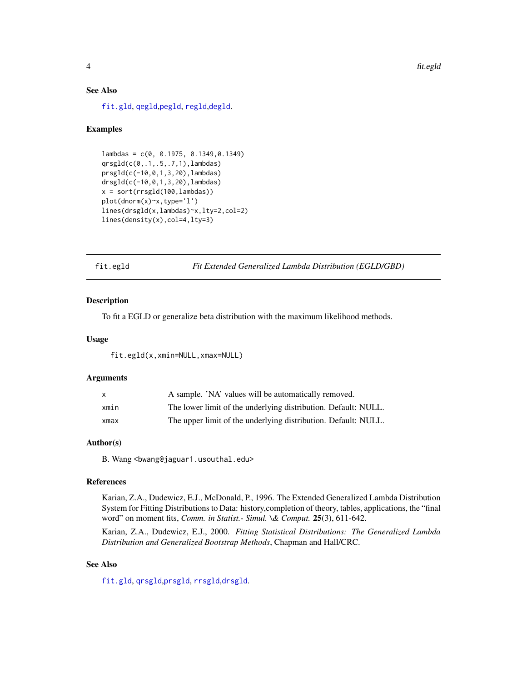## <span id="page-3-0"></span>See Also

[fit.gld](#page-4-1), [qegld](#page-1-1),[pegld](#page-1-1), [regld](#page-1-1),[degld](#page-1-2).

#### Examples

```
lambdas = c(0, 0.1975, 0.1349,0.1349)
qrsgld(c(0,.1,.5,.7,1),lambdas)
prsgld(c(-10,0,1,3,20),lambdas)
drsgld(c(-10,0,1,3,20),lambdas)
x = sort(rrsgld(100,lambda)plot(dnorm(x)~x,type='l')
lines(drsgld(x,lambdas)~x,lty=2,col=2)
lines(density(x),col=4,lty=3)
```
<span id="page-3-1"></span>fit.egld *Fit Extended Generalized Lambda Distribution (EGLD/GBD)*

#### Description

To fit a EGLD or generalize beta distribution with the maximum likelihood methods.

#### Usage

fit.egld(x,xmin=NULL,xmax=NULL)

#### Arguments

| X    | A sample. 'NA' values will be automatically removed.           |
|------|----------------------------------------------------------------|
| xmin | The lower limit of the underlying distribution. Default: NULL. |
| xmax | The upper limit of the underlying distribution. Default: NULL. |

#### Author(s)

B. Wang <bwang@jaguar1.usouthal.edu>

#### References

Karian, Z.A., Dudewicz, E.J., McDonald, P., 1996. The Extended Generalized Lambda Distribution System for Fitting Distributions to Data: history,completion of theory, tables, applications, the "final word" on moment fits, *Comm. in Statist.- Simul. \& Comput.* 25(3), 611-642.

Karian, Z.A., Dudewicz, E.J., 2000. *Fitting Statistical Distributions: The Generalized Lambda Distribution and Generalized Bootstrap Methods*, Chapman and Hall/CRC.

#### See Also

[fit.gld](#page-4-1), [qrsgld](#page-2-1),[prsgld](#page-2-1), [rrsgld](#page-2-1),[drsgld](#page-2-2).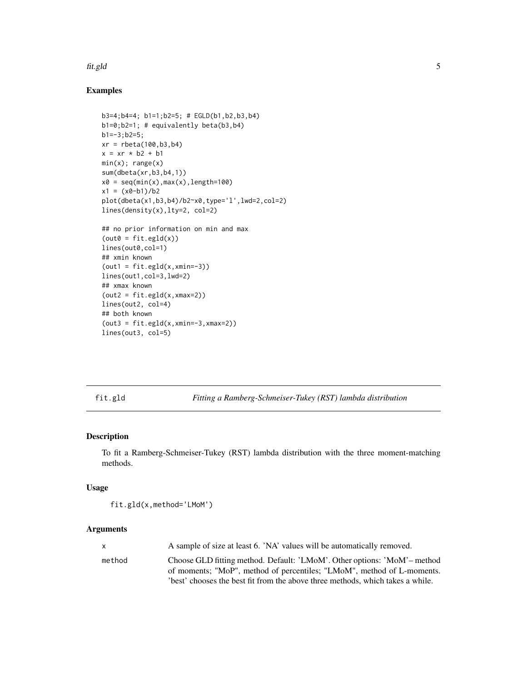#### <span id="page-4-0"></span>fit.gld 5

## Examples

```
b3=4;b4=4; b1=1;b2=5; # EGLD(b1,b2,b3,b4)
b1=0;b2=1; # equivalently beta(b3,b4)
b1=-3;b2=5;
xr = \text{rbeta}(100, b3, b4)x = xr * b2 + b1min(x); range(x)sum(dbeta(xr,b3,b4,1))
x0 = seq(min(x),max(x),length=100)
x1 = (x0-b1)/b2plot(dbeta(x1,b3,b4)/b2~x0,type='l',lwd=2,col=2)
lines(density(x),lty=2, col=2)
## no prior information on min and max
(out = fit.egld(x))lines(out0,col=1)
## xmin known
(out = fit.equals(x, xmin=-3))lines(out1,col=3,lwd=2)
## xmax known
(out2 = fit.equals(x, xmax=2))lines(out2, col=4)
## both known
(out3 = fit.equals(x, xmin=-3, xmax=2))lines(out3, col=5)
```
<span id="page-4-1"></span>fit.gld *Fitting a Ramberg-Schmeiser-Tukey (RST) lambda distribution*

#### Description

To fit a Ramberg-Schmeiser-Tukey (RST) lambda distribution with the three moment-matching methods.

#### Usage

```
fit.gld(x,method='LMoM')
```
## Arguments

|        | A sample of size at least 6. 'NA' values will be automatically removed.                                                                            |
|--------|----------------------------------------------------------------------------------------------------------------------------------------------------|
| method | Choose GLD fitting method. Default: 'LMoM'. Other options: 'MoM'- method<br>of moments; "MoP", method of percentiles; "LMoM", method of L-moments. |
|        | best' chooses the best fit from the above three methods, which takes a while.                                                                      |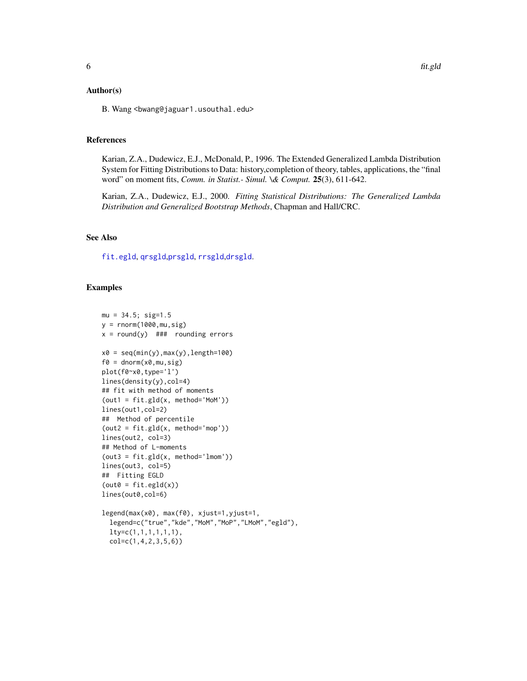#### <span id="page-5-0"></span>Author(s)

B. Wang <br/>bwang@jaguar1.usouthal.edu>

#### References

Karian, Z.A., Dudewicz, E.J., McDonald, P., 1996. The Extended Generalized Lambda Distribution System for Fitting Distributions to Data: history,completion of theory, tables, applications, the "final word" on moment fits, *Comm. in Statist.- Simul. \& Comput.* 25(3), 611-642.

Karian, Z.A., Dudewicz, E.J., 2000. *Fitting Statistical Distributions: The Generalized Lambda Distribution and Generalized Bootstrap Methods*, Chapman and Hall/CRC.

#### See Also

[fit.egld](#page-3-1), [qrsgld](#page-2-1),[prsgld](#page-2-1), [rrsgld](#page-2-1),[drsgld](#page-2-2).

#### Examples

```
mu = 34.5; sig=1.5
y = rnorm(1000, mu, sig)x = round(y) ### rounding errors
x0 = seq(min(y),max(y),length=100)f0 = \text{dnorm}(x0, mu, sig)plot(f0~x0,type='l')
lines(density(y),col=4)
## fit with method of moments
(out1 = fit.gld(x, method='MoM'))
lines(out1,col=2)
## Method of percentile
(out2 = fit.gld(x, method='mop'))lines(out2, col=3)
## Method of L-moments
(out3 = fit.gld(x, method='lmom'))lines(out3, col=5)
## Fitting EGLD
(out@ = fit.equals(x))lines(out0,col=6)
legend(max(x0), max(f0), xjust=1,yjust=1,
  legend=c("true","kde","MoM","MoP","LMoM","egld"),
  lty=c(1,1,1,1,1,1),
  col=c(1,4,2,3,5,6))
```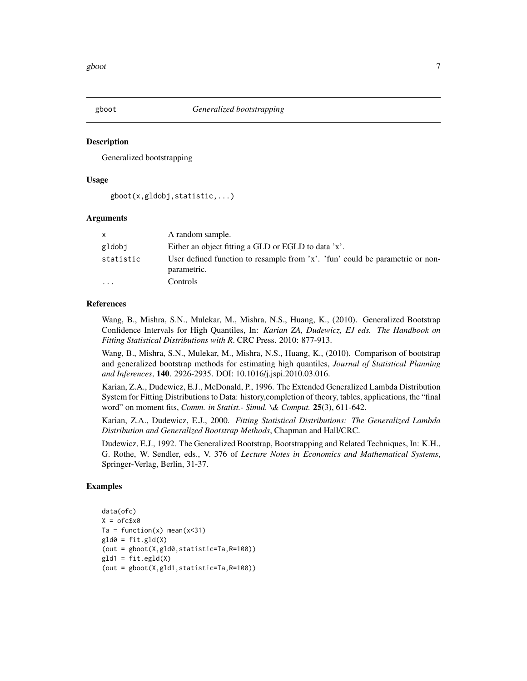<span id="page-6-0"></span>

## Description

Generalized bootstrapping

#### Usage

```
gboot(x,gldobj,statistic,...)
```
#### Arguments

| x.        | A random sample.                                                                             |
|-----------|----------------------------------------------------------------------------------------------|
| gldobj    | Either an object fitting a GLD or EGLD to data 'x'.                                          |
| statistic | User defined function to resample from 'x'. 'fun' could be parametric or non-<br>parametric. |
| $\ddots$  | Controls                                                                                     |

#### References

Wang, B., Mishra, S.N., Mulekar, M., Mishra, N.S., Huang, K., (2010). Generalized Bootstrap Confidence Intervals for High Quantiles, In: *Karian ZA, Dudewicz, EJ eds. The Handbook on Fitting Statistical Distributions with R*. CRC Press. 2010: 877-913.

Wang, B., Mishra, S.N., Mulekar, M., Mishra, N.S., Huang, K., (2010). Comparison of bootstrap and generalized bootstrap methods for estimating high quantiles, *Journal of Statistical Planning and Inferences*, 140. 2926-2935. DOI: 10.1016/j.jspi.2010.03.016.

Karian, Z.A., Dudewicz, E.J., McDonald, P., 1996. The Extended Generalized Lambda Distribution System for Fitting Distributions to Data: history,completion of theory, tables, applications, the "final word" on moment fits, *Comm. in Statist.- Simul. \& Comput.* 25(3), 611-642.

Karian, Z.A., Dudewicz, E.J., 2000. *Fitting Statistical Distributions: The Generalized Lambda Distribution and Generalized Bootstrap Methods*, Chapman and Hall/CRC.

Dudewicz, E.J., 1992. The Generalized Bootstrap, Bootstrapping and Related Techniques, In: K.H., G. Rothe, W. Sendler, eds., V. 376 of *Lecture Notes in Economics and Mathematical Systems*, Springer-Verlag, Berlin, 31-37.

#### Examples

```
data(ofc)
X = ofc$x0
Ta = function(x) mean(x < 31)
gld0 = fit.gld(X)(out = gboot(X,gld0,statistic=Ta,R=100))
g1d1 = fit.eg1d(X)(out = gboot(X,gld1,statistic=Ta,R=100))
```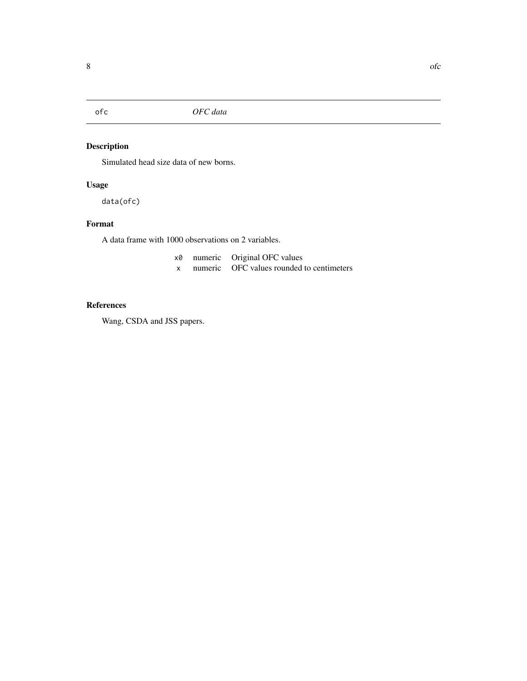<span id="page-7-0"></span>

## Description

Simulated head size data of new borns.

## Usage

data(ofc)

## Format

A data frame with 1000 observations on 2 variables.

| x0 | numeric Original OFC values               |
|----|-------------------------------------------|
|    | numeric OFC values rounded to centimeters |

## References

Wang, CSDA and JSS papers.